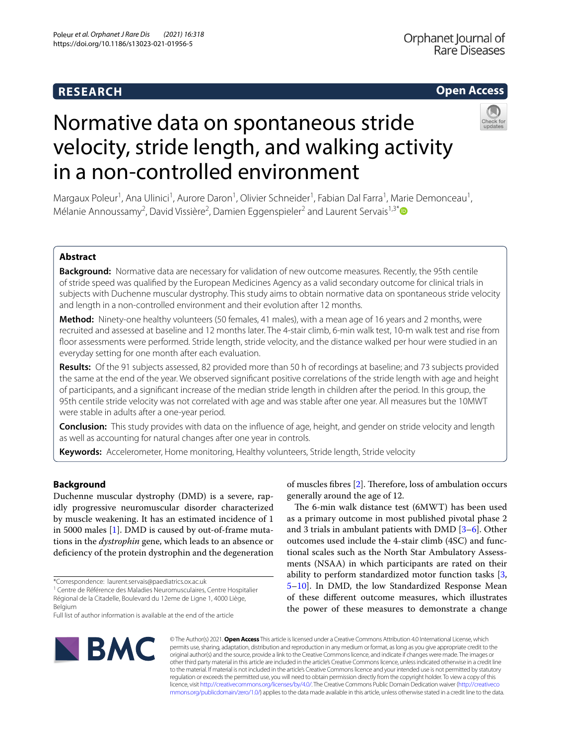## **RESEARCH**

## **Open Access**



# Normative data on spontaneous stride velocity, stride length, and walking activity in a non-controlled environment

Margaux Poleur<sup>1</sup>, Ana Ulinici<sup>1</sup>, Aurore Daron<sup>1</sup>, Olivier Schneider<sup>1</sup>, Fabian Dal Farra<sup>1</sup>, Marie Demonceau<sup>1</sup>, Mélanie Annoussamy<sup>2</sup>, David Vissière<sup>2</sup>, Damien Eggenspieler<sup>2</sup> and Laurent Servais<sup>1,3[\\*](http://orcid.org/0000-0001-9270-4061)</sup>

## **Abstract**

**Background:** Normative data are necessary for validation of new outcome measures. Recently, the 95th centile of stride speed was qualifed by the European Medicines Agency as a valid secondary outcome for clinical trials in subjects with Duchenne muscular dystrophy. This study aims to obtain normative data on spontaneous stride velocity and length in a non-controlled environment and their evolution after 12 months.

**Method:** Ninety-one healthy volunteers (50 females, 41 males), with a mean age of 16 years and 2 months, were recruited and assessed at baseline and 12 months later. The 4-stair climb, 6-min walk test, 10-m walk test and rise from foor assessments were performed. Stride length, stride velocity, and the distance walked per hour were studied in an everyday setting for one month after each evaluation.

**Results:** Of the 91 subjects assessed, 82 provided more than 50 h of recordings at baseline; and 73 subjects provided the same at the end of the year. We observed signifcant positive correlations of the stride length with age and height of participants, and a signifcant increase of the median stride length in children after the period. In this group, the 95th centile stride velocity was not correlated with age and was stable after one year. All measures but the 10MWT were stable in adults after a one-year period.

**Conclusion:** This study provides with data on the infuence of age, height, and gender on stride velocity and length as well as accounting for natural changes after one year in controls.

**Keywords:** Accelerometer, Home monitoring, Healthy volunteers, Stride length, Stride velocity

## **Background**

Duchenne muscular dystrophy (DMD) is a severe, rapidly progressive neuromuscular disorder characterized by muscle weakening. It has an estimated incidence of 1 in 5000 males [\[1](#page-8-0)]. DMD is caused by out-of-frame mutations in the *dystrophin* gene, which leads to an absence or deficiency of the protein dystrophin and the degeneration

Full list of author information is available at the end of the article



of muscles fibres [[2\]](#page-8-1). Therefore, loss of ambulation occurs generally around the age of 12.

The 6-min walk distance test (6MWT) has been used as a primary outcome in most published pivotal phase 2 and 3 trials in ambulant patients with DMD [\[3](#page-8-2)[–6\]](#page-8-3). Other outcomes used include the 4-stair climb (4SC) and functional scales such as the North Star Ambulatory Assessments (NSAA) in which participants are rated on their ability to perform standardized motor function tasks [\[3](#page-8-2), [5–](#page-8-4)[10](#page-8-5)]. In DMD, the low Standardized Response Mean of these diferent outcome measures, which illustrates the power of these measures to demonstrate a change

© The Author(s) 2021. **Open Access** This article is licensed under a Creative Commons Attribution 4.0 International License, which permits use, sharing, adaptation, distribution and reproduction in any medium or format, as long as you give appropriate credit to the original author(s) and the source, provide a link to the Creative Commons licence, and indicate if changes were made. The images or other third party material in this article are included in the article's Creative Commons licence, unless indicated otherwise in a credit line to the material. If material is not included in the article's Creative Commons licence and your intended use is not permitted by statutory regulation or exceeds the permitted use, you will need to obtain permission directly from the copyright holder. To view a copy of this licence, visit [http://creativecommons.org/licenses/by/4.0/.](http://creativecommons.org/licenses/by/4.0/) The Creative Commons Public Domain Dedication waiver ([http://creativeco](http://creativecommons.org/publicdomain/zero/1.0/) [mmons.org/publicdomain/zero/1.0/](http://creativecommons.org/publicdomain/zero/1.0/)) applies to the data made available in this article, unless otherwise stated in a credit line to the data.

<sup>\*</sup>Correspondence: laurent.servais@paediatrics.ox.ac.uk

<sup>&</sup>lt;sup>1</sup> Centre de Référence des Maladies Neuromusculaires, Centre Hospitalier Régional de la Citadelle, Boulevard du 12eme de Ligne 1, 4000 Liège, Belgium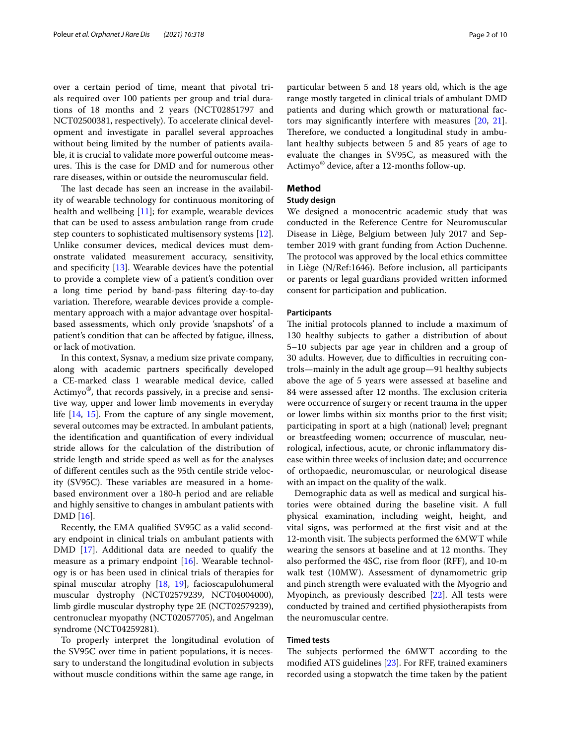over a certain period of time, meant that pivotal trials required over 100 patients per group and trial durations of 18 months and 2 years (NCT02851797 and NCT02500381, respectively). To accelerate clinical development and investigate in parallel several approaches without being limited by the number of patients available, it is crucial to validate more powerful outcome measures. This is the case for DMD and for numerous other rare diseases, within or outside the neuromuscular feld.

The last decade has seen an increase in the availability of wearable technology for continuous monitoring of health and wellbeing  $[11]$  $[11]$ ; for example, wearable devices that can be used to assess ambulation range from crude step counters to sophisticated multisensory systems [\[12](#page-8-7)]. Unlike consumer devices, medical devices must demonstrate validated measurement accuracy, sensitivity, and specificity  $[13]$  $[13]$  $[13]$ . Wearable devices have the potential to provide a complete view of a patient's condition over a long time period by band-pass fltering day-to-day variation. Therefore, wearable devices provide a complementary approach with a major advantage over hospitalbased assessments, which only provide 'snapshots' of a patient's condition that can be afected by fatigue, illness, or lack of motivation.

In this context, Sysnav, a medium size private company, along with academic partners specifcally developed a CE-marked class 1 wearable medical device, called Actimyo®, that records passively, in a precise and sensitive way, upper and lower limb movements in everyday life [\[14,](#page-8-9) [15\]](#page-8-10). From the capture of any single movement, several outcomes may be extracted. In ambulant patients, the identifcation and quantifcation of every individual stride allows for the calculation of the distribution of stride length and stride speed as well as for the analyses of diferent centiles such as the 95th centile stride velocity (SV95C). These variables are measured in a homebased environment over a 180-h period and are reliable and highly sensitive to changes in ambulant patients with DMD [[16\]](#page-8-11).

Recently, the EMA qualifed SV95C as a valid secondary endpoint in clinical trials on ambulant patients with DMD [\[17](#page-8-12)]. Additional data are needed to qualify the measure as a primary endpoint [\[16](#page-8-11)]. Wearable technology is or has been used in clinical trials of therapies for spinal muscular atrophy [\[18](#page-8-13), [19](#page-8-14)], facioscapulohumeral muscular dystrophy (NCT02579239, NCT04004000), limb girdle muscular dystrophy type 2E (NCT02579239), centronuclear myopathy (NCT02057705), and Angelman syndrome (NCT04259281).

To properly interpret the longitudinal evolution of the SV95C over time in patient populations, it is necessary to understand the longitudinal evolution in subjects without muscle conditions within the same age range, in particular between 5 and 18 years old, which is the age range mostly targeted in clinical trials of ambulant DMD patients and during which growth or maturational factors may signifcantly interfere with measures [\[20,](#page-8-15) [21](#page-8-16)]. Therefore, we conducted a longitudinal study in ambulant healthy subjects between 5 and 85 years of age to evaluate the changes in SV95C, as measured with the Actimyo® device, after a 12-months follow-up.

## **Method**

## **Study design**

We designed a monocentric academic study that was conducted in the Reference Centre for Neuromuscular Disease in Liège, Belgium between July 2017 and September 2019 with grant funding from Action Duchenne. The protocol was approved by the local ethics committee in Liège (N/Ref:1646). Before inclusion, all participants or parents or legal guardians provided written informed consent for participation and publication.

#### **Participants**

The initial protocols planned to include a maximum of 130 healthy subjects to gather a distribution of about 5–10 subjects par age year in children and a group of 30 adults. However, due to difficulties in recruiting controls—mainly in the adult age group—91 healthy subjects above the age of 5 years were assessed at baseline and 84 were assessed after 12 months. The exclusion criteria were occurrence of surgery or recent trauma in the upper or lower limbs within six months prior to the frst visit; participating in sport at a high (national) level; pregnant or breastfeeding women; occurrence of muscular, neurological, infectious, acute, or chronic infammatory disease within three weeks of inclusion date; and occurrence of orthopaedic, neuromuscular, or neurological disease with an impact on the quality of the walk.

Demographic data as well as medical and surgical histories were obtained during the baseline visit. A full physical examination, including weight, height, and vital signs, was performed at the frst visit and at the 12-month visit. The subjects performed the 6MWT while wearing the sensors at baseline and at 12 months. They also performed the 4SC, rise from floor (RFF), and 10-m walk test (10MW). Assessment of dynamometric grip and pinch strength were evaluated with the Myogrio and Myopinch, as previously described [[22\]](#page-8-17). All tests were conducted by trained and certifed physiotherapists from the neuromuscular centre.

#### **Timed tests**

The subjects performed the 6MWT according to the modifed ATS guidelines [[23\]](#page-8-18). For RFF, trained examiners recorded using a stopwatch the time taken by the patient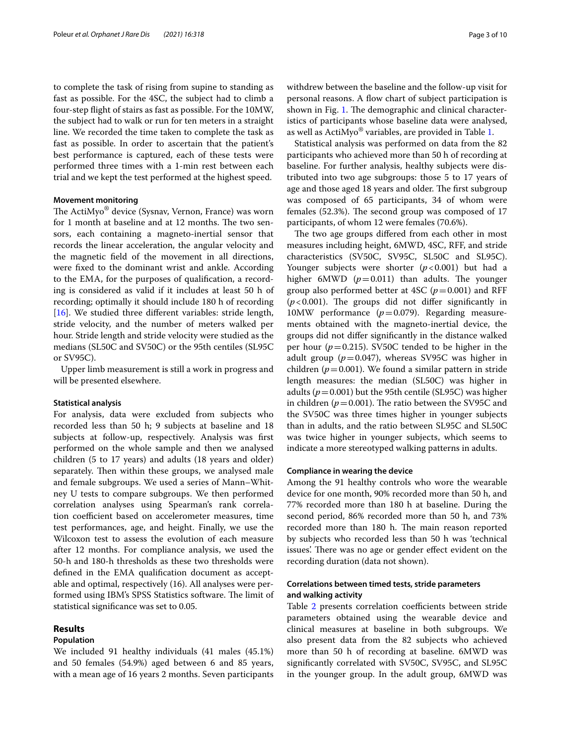to complete the task of rising from supine to standing as fast as possible. For the 4SC, the subject had to climb a four-step fight of stairs as fast as possible. For the 10MW, the subject had to walk or run for ten meters in a straight line. We recorded the time taken to complete the task as fast as possible. In order to ascertain that the patient's best performance is captured, each of these tests were performed three times with a 1-min rest between each trial and we kept the test performed at the highest speed.

#### **Movement monitoring**

The ActiMyo $^{\circledR}$  device (Sysnav, Vernon, France) was worn for 1 month at baseline and at 12 months. The two sensors, each containing a magneto-inertial sensor that records the linear acceleration, the angular velocity and the magnetic feld of the movement in all directions, were fxed to the dominant wrist and ankle. According to the EMA, for the purposes of qualifcation, a recording is considered as valid if it includes at least 50 h of recording; optimally it should include 180 h of recording [[16\]](#page-8-11). We studied three diferent variables: stride length, stride velocity, and the number of meters walked per hour. Stride length and stride velocity were studied as the medians (SL50C and SV50C) or the 95th centiles (SL95C or SV95C).

Upper limb measurement is still a work in progress and will be presented elsewhere.

#### **Statistical analysis**

For analysis, data were excluded from subjects who recorded less than 50 h; 9 subjects at baseline and 18 subjects at follow-up, respectively. Analysis was frst performed on the whole sample and then we analysed children (5 to 17 years) and adults (18 years and older) separately. Then within these groups, we analysed male and female subgroups. We used a series of Mann–Whitney U tests to compare subgroups. We then performed correlation analyses using Spearman's rank correlation coefficient based on accelerometer measures, time test performances, age, and height. Finally, we use the Wilcoxon test to assess the evolution of each measure after 12 months. For compliance analysis, we used the 50-h and 180-h thresholds as these two thresholds were defned in the EMA qualifcation document as acceptable and optimal, respectively (16). All analyses were performed using IBM's SPSS Statistics software. The limit of statistical signifcance was set to 0.05.

#### **Results**

## **Population**

We included 91 healthy individuals (41 males (45.1%) and 50 females (54.9%) aged between 6 and 85 years, with a mean age of 16 years 2 months. Seven participants withdrew between the baseline and the follow-up visit for personal reasons. A fow chart of subject participation is shown in Fig. [1](#page-3-0). The demographic and clinical characteristics of participants whose baseline data were analysed, as well as ActiMyo® variables, are provided in Table [1.](#page-4-0)

Statistical analysis was performed on data from the 82 participants who achieved more than 50 h of recording at baseline. For further analysis, healthy subjects were distributed into two age subgroups: those 5 to 17 years of age and those aged 18 years and older. The first subgroup was composed of 65 participants, 34 of whom were females  $(52.3%)$ . The second group was composed of 17 participants, of whom 12 were females (70.6%).

The two age groups differed from each other in most measures including height, 6MWD, 4SC, RFF, and stride characteristics (SV50C, SV95C, SL50C and SL95C). Younger subjects were shorter (*p*<0.001) but had a higher  $6MWD$  ( $p=0.011$ ) than adults. The younger group also performed better at 4SC  $(p=0.001)$  and RFF  $(p<0.001)$ . The groups did not differ significantly in 10MW performance (*p*=0.079). Regarding measurements obtained with the magneto-inertial device, the groups did not difer signifcantly in the distance walked per hour ( $p=0.215$ ). SV50C tended to be higher in the adult group  $(p=0.047)$ , whereas SV95C was higher in children ( $p = 0.001$ ). We found a similar pattern in stride length measures: the median (SL50C) was higher in adults ( $p = 0.001$ ) but the 95th centile (SL95C) was higher in children ( $p = 0.001$ ). The ratio between the SV95C and the SV50C was three times higher in younger subjects than in adults, and the ratio between SL95C and SL50C was twice higher in younger subjects, which seems to indicate a more stereotyped walking patterns in adults.

#### **Compliance in wearing the device**

Among the 91 healthy controls who wore the wearable device for one month, 90% recorded more than 50 h, and 77% recorded more than 180 h at baseline. During the second period, 86% recorded more than 50 h, and 73% recorded more than 180 h. The main reason reported by subjects who recorded less than 50 h was 'technical issues. There was no age or gender effect evident on the recording duration (data not shown).

## **Correlations between timed tests, stride parameters and walking activity**

Table [2](#page-5-0) presents correlation coefficients between stride parameters obtained using the wearable device and clinical measures at baseline in both subgroups. We also present data from the 82 subjects who achieved more than 50 h of recording at baseline. 6MWD was signifcantly correlated with SV50C, SV95C, and SL95C in the younger group. In the adult group, 6MWD was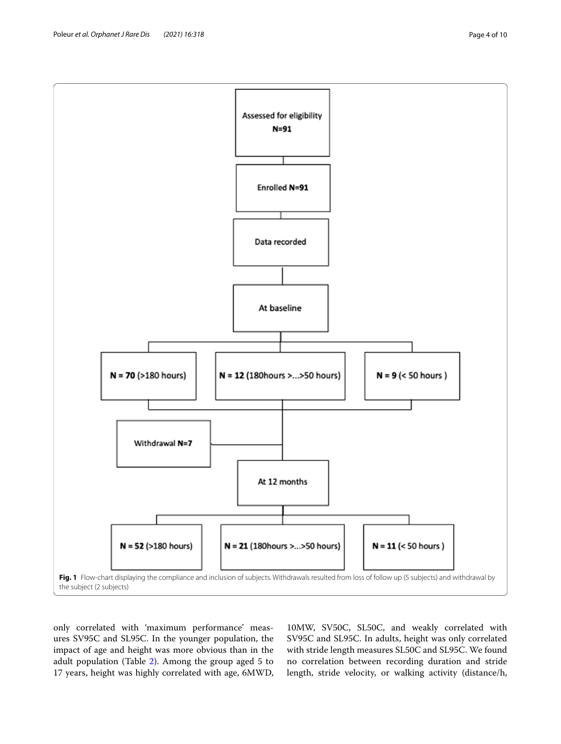<span id="page-3-0"></span>only correlated with 'maximum performance' measures SV95C and SL95C. In the younger population, the impact of age and height was more obvious than in the adult population (Table [2](#page-5-0)). Among the group aged 5 to 17 years, height was highly correlated with age, 6MWD, 10MW, SV50C, SL50C, and weakly correlated with SV95C and SL95C. In adults, height was only correlated with stride length measures SL50C and SL95C. We found no correlation between recording duration and stride length, stride velocity, or walking activity (distance/h,

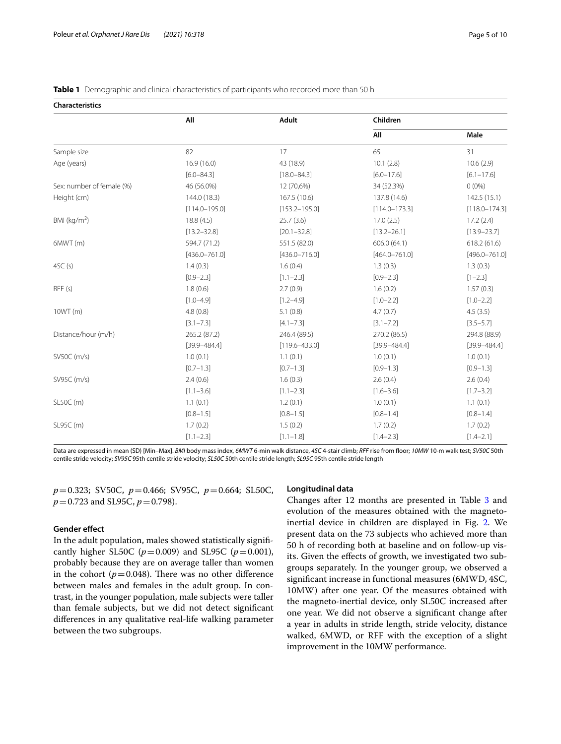**Characteristics**

|                           | All               | Adult             | Children          |                   |
|---------------------------|-------------------|-------------------|-------------------|-------------------|
|                           |                   |                   | All               | Male              |
| Sample size               | 82                | 17                | 65                | 31                |
| Age (years)               | 16.9(16.0)        | 43 (18.9)         | 10.1(2.8)         | 10.6(2.9)         |
|                           | $[6.0 - 84.3]$    | $[18.0 - 84.3]$   | $[6.0 - 17.6]$    | $[6.1 - 17.6]$    |
| Sex: number of female (%) | 46 (56.0%)        | 12 (70,6%)        | 34 (52.3%)        | $0(0\%)$          |
| Height (cm)               | 144.0 (18.3)      | 167.5 (10.6)      | 137.8 (14.6)      | 142.5(15.1)       |
|                           | $[114.0 - 195.0]$ | $[153.2 - 195.0]$ | $[114.0 - 173.3]$ | $[118.0 - 174.3]$ |
| BMI ( $kg/m2$ )           | 18.8(4.5)         | 25.7(3.6)         | 17.0(2.5)         | 17.2(2.4)         |
|                           | $[13.2 - 32.8]$   | $[20.1 - 32.8]$   | $[13.2 - 26.1]$   | $[13.9 - 23.7]$   |
| 6MWT (m)                  | 594.7 (71.2)      | 551.5 (82.0)      | 606.0 (64.1)      | 618.2 (61.6)      |
|                           | $[436.0 - 761.0]$ | $[436.0 - 716.0]$ | $[464.0 - 761.0]$ | $[496.0 - 761.0]$ |
| 4SC(s)                    | 1.4(0.3)          | 1.6(0.4)          | 1.3(0.3)          | 1.3(0.3)          |
|                           | $[0.9 - 2.3]$     | $[1.1 - 2.3]$     | $[0.9 - 2.3]$     | $[1-2.3]$         |
| RFF(s)                    | 1.8(0.6)          | 2.7(0.9)          | 1.6(0.2)          | 1.57(0.3)         |
|                           | $[1.0 - 4.9]$     | $[1.2 - 4.9]$     | $[1.0 - 2.2]$     | $[1.0 - 2.2]$     |
| 10WT (m)                  | 4.8(0.8)          | 5.1(0.8)          | 4.7(0.7)          | 4.5(3.5)          |
|                           | $[3.1 - 7.3]$     | $[4.1 - 7.3]$     | $[3.1 - 7.2]$     | $[3.5 - 5.7]$     |
| Distance/hour (m/h)       | 265.2 (87.2)      | 246.4 (89.5)      | 270.2 (86.5)      | 294.8 (88.9)      |
|                           | $[39.9 - 484.4]$  | $[119.6 - 433.0]$ | $[39.9 - 484.4]$  | $[39.9 - 484.4]$  |
| $SV50C$ (m/s)             | 1.0(0.1)          | 1.1(0.1)          | 1.0(0.1)          | 1.0(0.1)          |
|                           | $[0.7 - 1.3]$     | $[0.7 - 1.3]$     | $[0.9 - 1.3]$     | $[0.9 - 1.3]$     |
| SV95C (m/s)               | 2.4(0.6)          | 1.6(0.3)          | 2.6(0.4)          | 2.6(0.4)          |
|                           | $[1.1 - 3.6]$     | $[1.1 - 2.3]$     | $[1.6 - 3.6]$     | $[1.7 - 3.2]$     |
| $SL50C$ (m)               | 1.1(0.1)          | 1.2(0.1)          | 1.0(0.1)          | 1.1(0.1)          |
|                           | $[0.8 - 1.5]$     | $[0.8 - 1.5]$     | $[0.8 - 1.4]$     | $[0.8 - 1.4]$     |
| SL95C (m)                 | 1.7(0.2)          | 1.5(0.2)          | 1.7(0.2)          | 1.7(0.2)          |
|                           | $[1.1 - 2.3]$     | $[1.1 - 1.8]$     | $[1.4 - 2.3]$     | $[1.4 - 2.1]$     |

#### <span id="page-4-0"></span>**Table 1** Demographic and clinical characteristics of participants who recorded more than 50 h

Data are expressed in mean (SD) [Min–Max]. *BMI* body mass index, *6MWT* 6-min walk distance, *4SC* 4-stair climb; *RFF* rise from foor; *10MW* 10-m walk test; *SV50C* 50th centile stride velocity; *SV95C* 95th centile stride velocity; *SL50C* 50th centile stride length; *SL95C* 95th centile stride length

*p*=0.323; SV50C, *p*=0.466; SV95C, *p*=0.664; SL50C, *p*=0.723 and SL95C, *p*=0.798).

### **Gender efect**

In the adult population, males showed statistically signifcantly higher SL50C ( $p = 0.009$ ) and SL95C ( $p = 0.001$ ), probably because they are on average taller than women in the cohort ( $p=0.048$ ). There was no other difference between males and females in the adult group. In contrast, in the younger population, male subjects were taller than female subjects, but we did not detect signifcant diferences in any qualitative real-life walking parameter between the two subgroups.

#### **Longitudinal data**

Changes after 12 months are presented in Table [3](#page-6-0) and evolution of the measures obtained with the magnetoinertial device in children are displayed in Fig. [2.](#page-6-1) We present data on the 73 subjects who achieved more than 50 h of recording both at baseline and on follow-up visits. Given the efects of growth, we investigated two subgroups separately. In the younger group, we observed a signifcant increase in functional measures (6MWD, 4SC, 10MW) after one year. Of the measures obtained with the magneto-inertial device, only SL50C increased after one year. We did not observe a signifcant change after a year in adults in stride length, stride velocity, distance walked, 6MWD, or RFF with the exception of a slight improvement in the 10MW performance.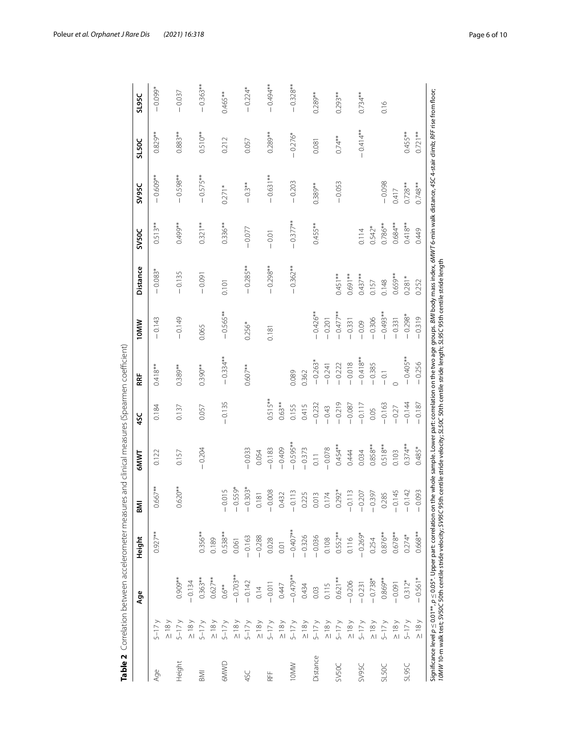<span id="page-5-0"></span>

|              |                       | Age                                                                                                                                                                                                                                                                                                                                                                                                      | Height     | $\overline{5}$<br>ᆱ                     | <b>EMMT</b>       | 4SC        | R۴         | 10MW        | Distance    | SV50C      | SV95C      | <b>SL50C</b> | <b>SL95C</b> |
|--------------|-----------------------|----------------------------------------------------------------------------------------------------------------------------------------------------------------------------------------------------------------------------------------------------------------------------------------------------------------------------------------------------------------------------------------------------------|------------|-----------------------------------------|-------------------|------------|------------|-------------|-------------|------------|------------|--------------|--------------|
| Age          | $5 - 17y$             |                                                                                                                                                                                                                                                                                                                                                                                                          | $0.927**$  | $0.667**$                               | 0.122             | 0.184      | $0.418**$  | 0.143       | $-0.083*$   | $0.513**$  | $-0.609**$ | $0.829**$    | $-0.099*$    |
|              | $\geq 18$ y           |                                                                                                                                                                                                                                                                                                                                                                                                          |            |                                         |                   |            |            |             |             |            |            |              |              |
| Height       | $5-17y$               | $0.909**$                                                                                                                                                                                                                                                                                                                                                                                                |            | $0.620**$                               | 0.157             | 0.137      | $0.389**$  | $-0.149$    | $-0.135$    | **6670     | $-0.598**$ | $0.883**$    | $-0.037$     |
|              | $\geq 18$ y           | $-0.134$                                                                                                                                                                                                                                                                                                                                                                                                 |            |                                         |                   |            |            |             |             |            |            |              |              |
| <b>IIV</b> 8 | $5 - 17y$             | $0.363**$                                                                                                                                                                                                                                                                                                                                                                                                | $0.356**$  |                                         | $-0.204$          | 0.057      | $0.390**$  | 0.065       | $-0.091$    | $0.321**$  | $-0.575**$ | $0.510**$    | $-0.363**$   |
|              | $\geq 18$ y           | $0.627**$                                                                                                                                                                                                                                                                                                                                                                                                | 0.189      |                                         |                   |            |            |             |             |            |            |              |              |
| 6MWD         | $5-17y$               | $0.6**$                                                                                                                                                                                                                                                                                                                                                                                                  | $0.538**$  | $-0.015$                                |                   | $-0.135$   | $-0.334**$ | $-0.565***$ | 0.101       | $0.336**$  | $0.271*$   | 0.212        | $0.465**$    |
|              | $\geq 18$ y           | $-0.703**$                                                                                                                                                                                                                                                                                                                                                                                               | 0.061      | $-0.559*$                               |                   |            |            |             |             |            |            |              |              |
| 4SC          | $5 - 17y$             | $-0.142$                                                                                                                                                                                                                                                                                                                                                                                                 | $-0.163$   | $-0.303*$                               | $-0.033$          |            | $0.607**$  | 0.256*      | $-0.285**$  | $-0.077$   | $-0.3**$   | 0.057        | $-0.224*$    |
|              | $\geq 18$ y           | 0.14                                                                                                                                                                                                                                                                                                                                                                                                     | $-0.288$   | 0.181                                   | 0.054             |            |            |             |             |            |            |              |              |
| RFF          | $5 - 17y$             | $-0.011$                                                                                                                                                                                                                                                                                                                                                                                                 | 0.028      | $-0.008$                                | $-0.183$          | $0.515***$ |            | 0.181       | $-0.298***$ | $-0.01$    | $-0.631**$ | $0.289**$    | $-0.494***$  |
|              | $\geq 18$ y           | 0.447                                                                                                                                                                                                                                                                                                                                                                                                    | 0.01       | 0.432                                   | $-0.409$          | $0.63**$   |            |             |             |            |            |              |              |
| 10MW         | $5 - 17y$             | $-0.479**$                                                                                                                                                                                                                                                                                                                                                                                               | $-0.407**$ | 0.113<br>$\begin{array}{c} \end{array}$ | $0.595***$        | 0.155      | 0.089      |             | $-0.362***$ | $-0.377**$ | $-0.203$   | $-0.276*$    | $-0.328**$   |
|              |                       | 0.434                                                                                                                                                                                                                                                                                                                                                                                                    | $-0.326$   | 0.225                                   | $-0.373$          | 0.415      | 0.362      |             |             |            |            |              |              |
| Distance     | $\geq$ 18 y<br>5-17 y |                                                                                                                                                                                                                                                                                                                                                                                                          | $-0.036$   | 0.013                                   | $\overline{0.11}$ | 0.232      | $-0.263*$  | $-0.426**$  |             | $0.455***$ | $0.389**$  | 0.081        | $0.289**$    |
|              | $\geq 18$ y           | $0.03$<br>0.115                                                                                                                                                                                                                                                                                                                                                                                          | 0.108      | 0.174                                   | $-0.078$          | $-0.43$    | $-0.241$   | $-0.201$    |             |            |            |              |              |
| <b>SV50C</b> | $5 - 17y$             | $0.621***$                                                                                                                                                                                                                                                                                                                                                                                               | $0.552***$ | $0.292*$                                | $0.454**$         | 0.219      | $-0.222$   | $-0.477***$ | $0.451***$  |            | $-0.053$   | $0.74**$     | $0.293**$    |
|              | $\geq 18$ y           | $-0.206$                                                                                                                                                                                                                                                                                                                                                                                                 | 0.116      | $-0.113$                                | 0.444             | 0.087      | $-0.018$   | $-0.331$    | ** 1690     |            |            |              |              |
| SV95C        | $5 - 17y$             | $-0.231$                                                                                                                                                                                                                                                                                                                                                                                                 | $-0.269*$  | $-0.207$                                | 0.034             | 0.117      | $-0.418**$ | $-0.09$     | $0.437**$   | 0.114      |            | $-0.414**$   | $0.734**$    |
|              | $\geq 18$ y           | $-0.738*$                                                                                                                                                                                                                                                                                                                                                                                                | 0.254      | $-0.397$                                | $0.858**$         | 0.05       | $-0.385$   | 0.306       | 0.157       | $0.542*$   |            |              |              |
| SL50C        | $5 - 17y$             | $0.869**$                                                                                                                                                                                                                                                                                                                                                                                                | $0.876**$  | 0.285                                   | $0.518**$         | $-0.163$   | $-0.1$     | $-0.493**$  | 0.148       | $0.786**$  | $-0.098$   |              | 0.16         |
|              | $\geq 18$ y           | $-0.091$                                                                                                                                                                                                                                                                                                                                                                                                 | $0.678**$  | $-0.145$                                | 0.103             | $-0.27$    | $\circ$    | $-0.331$    | $0.659**$   | $0.684***$ | 0.417      |              |              |
| <b>JSGIS</b> | $5 - 17y$             | $0.312*$                                                                                                                                                                                                                                                                                                                                                                                                 | $0.274*$   | 0.142                                   | $0.374**$         | $-0.144$   | $-0.405**$ | $0.298*$    | $0.281*$    | $0.418**$  | $0.728**$  | $0.455***$   |              |
|              | $\geq$ 18 y           | $-0.561*$                                                                                                                                                                                                                                                                                                                                                                                                | $0.668**$  | 0.093<br>$\begin{array}{c} \end{array}$ | 0.485*            | $-0.187$   | $-0.256$   | $-0.319$    | 0.252       | 0.449      | $0.748**$  | $0.721**$    |              |
|              |                       | Significance level $p \leq 0.05$ . " $p \geq 0.05$ , $p \geq 0.05$ , $p \geq 0.05$ , correlation on the whole sample. Lower part: correlation on the two age groups. BMI body mass index, 6/MVT 6-min walk distance, 45C 4-stair clim<br>10MW 10-m walk test; SV50C 50th centile stride velocity; SV95C 95th centile stride velocity; SL50C 50th centile stride length; SL95C 95th centile stride length |            |                                         |                   |            |            |             |             |            |            |              |              |

Poleur *et al. Orphanet J Rare Dis (2021) 16:318* Page 6 of 10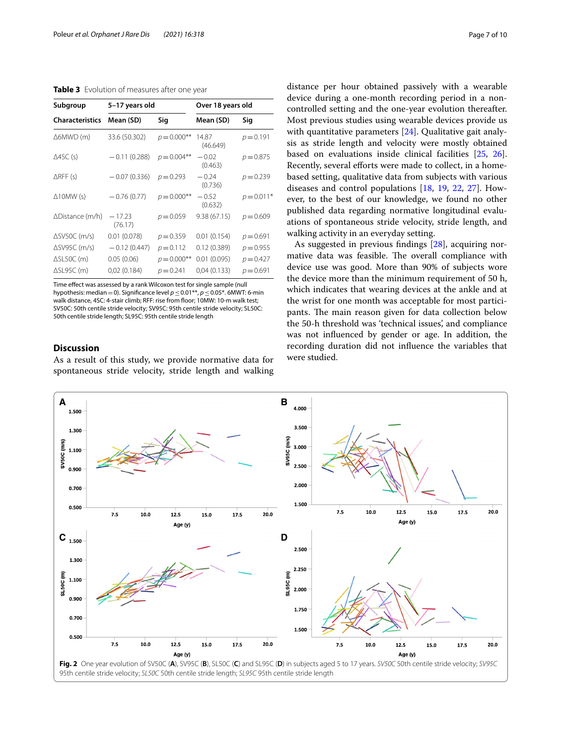<span id="page-6-0"></span>**Table 3** Evolution of measures after one year

| Subgroup                | 5-17 years old      |                | Over 18 years old  |              |
|-------------------------|---------------------|----------------|--------------------|--------------|
| <b>Characteristics</b>  | Mean (SD)           | Sig            | Mean (SD)          | Sig          |
| $\Delta 6MWD$ (m)       | 33.6 (50.302)       | $p = 0.000$ ** | 14.87<br>(46.649)  | $p = 0.191$  |
| $\triangle$ 4SC (s)     | $-0.11(0.288)$      | $p = 0.004$ ** | $-0.02$<br>(0.463) | $p = 0.875$  |
| $\triangle$ RFF $(s)$   | $-0.07(0.336)$      | $p = 0.293$    | $-0.24$<br>(0.736) | $p = 0.239$  |
| $\triangle$ 10MW (s)    | $-0.76(0.77)$       | $p = 0.000$ ** | $-0.52$<br>(0.632) | $p = 0.011*$ |
| $\Delta$ Distance (m/h) | $-17.23$<br>(76.17) | $p = 0.059$    | 9.38(67.15)        | $p = 0.609$  |
| $\triangle$ SV50C (m/s) | 0.01(0.078)         | $p = 0.359$    | 0.01(0.154)        | $p = 0.691$  |
| $\triangle$ SV95C (m/s) | $-0.12(0.447)$      | $p = 0.112$    | 0.12(0.389)        | $p = 0.955$  |
| $\triangle$ SL50C $(m)$ | 0.05(0.06)          | $p = 0.000$ ** | 0.01(0.095)        | $p = 0.427$  |
| $\triangle$ SL95C (m)   | 0,02(0.184)         | $p = 0.241$    | 0,04(0.133)        | $p = 0.691$  |

Time effect was assessed by a rank Wilcoxon test for single sample (null hypothesis: median=0). Signifcance level *p*≤0.01\*\*, *p*≤0.05\*. 6MWT: 6-min walk distance, 4SC: 4-stair climb; RFF: rise from floor; 10MW: 10-m walk test; SV50C: 50th centile stride velocity; SV95C: 95th centile stride velocity; SL50C: 50th centile stride length; SL95C: 95th centile stride length

## **Discussion**

As a result of this study, we provide normative data for spontaneous stride velocity, stride length and walking distance per hour obtained passively with a wearable device during a one-month recording period in a noncontrolled setting and the one-year evolution thereafter. Most previous studies using wearable devices provide us with quantitative parameters [\[24](#page-8-19)]. Qualitative gait analysis as stride length and velocity were mostly obtained based on evaluations inside clinical facilities [\[25](#page-8-20), [26](#page-8-21)]. Recently, several efforts were made to collect, in a homebased setting, qualitative data from subjects with various diseases and control populations [[18,](#page-8-13) [19,](#page-8-14) [22](#page-8-17), [27](#page-8-22)]. However, to the best of our knowledge, we found no other published data regarding normative longitudinal evaluations of spontaneous stride velocity, stride length, and walking activity in an everyday setting.

As suggested in previous fndings [\[28\]](#page-8-23), acquiring normative data was feasible. The overall compliance with device use was good. More than 90% of subjects wore the device more than the minimum requirement of 50 h, which indicates that wearing devices at the ankle and at the wrist for one month was acceptable for most participants. The main reason given for data collection below the 50-h threshold was 'technical issues', and compliance was not infuenced by gender or age. In addition, the recording duration did not infuence the variables that were studied.

<span id="page-6-1"></span>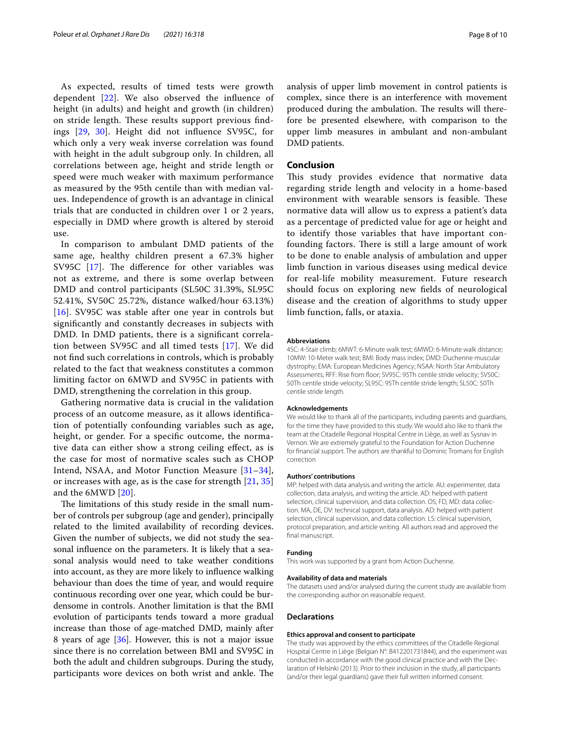As expected, results of timed tests were growth dependent [[22\]](#page-8-17). We also observed the infuence of height (in adults) and height and growth (in children) on stride length. These results support previous findings [[29](#page-8-24), [30](#page-8-25)]. Height did not infuence SV95C, for which only a very weak inverse correlation was found with height in the adult subgroup only. In children, all correlations between age, height and stride length or speed were much weaker with maximum performance as measured by the 95th centile than with median values. Independence of growth is an advantage in clinical trials that are conducted in children over 1 or 2 years, especially in DMD where growth is altered by steroid use.

In comparison to ambulant DMD patients of the same age, healthy children present a 67.3% higher SV95C  $[17]$  $[17]$  $[17]$ . The difference for other variables was not as extreme, and there is some overlap between DMD and control participants (SL50C 31.39%, SL95C 52.41%, SV50C 25.72%, distance walked/hour 63.13%) [[16](#page-8-11)]. SV95C was stable after one year in controls but signifcantly and constantly decreases in subjects with DMD. In DMD patients, there is a signifcant correlation between SV95C and all timed tests [\[17](#page-8-12)]. We did not fnd such correlations in controls, which is probably related to the fact that weakness constitutes a common limiting factor on 6MWD and SV95C in patients with DMD, strengthening the correlation in this group.

Gathering normative data is crucial in the validation process of an outcome measure, as it allows identifcation of potentially confounding variables such as age, height, or gender. For a specific outcome, the normative data can either show a strong ceiling efect, as is the case for most of normative scales such as CHOP Intend, NSAA, and Motor Function Measure [[31–](#page-9-0)[34\]](#page-9-1), or increases with age, as is the case for strength [\[21](#page-8-16), [35](#page-9-2)] and the 6MWD [\[20](#page-8-15)].

The limitations of this study reside in the small number of controls per subgroup (age and gender), principally related to the limited availability of recording devices. Given the number of subjects, we did not study the seasonal infuence on the parameters. It is likely that a seasonal analysis would need to take weather conditions into account, as they are more likely to infuence walking behaviour than does the time of year, and would require continuous recording over one year, which could be burdensome in controls. Another limitation is that the BMI evolution of participants tends toward a more gradual increase than those of age-matched DMD, mainly after 8 years of age [\[36\]](#page-9-3). However, this is not a major issue since there is no correlation between BMI and SV95C in both the adult and children subgroups. During the study, participants wore devices on both wrist and ankle. The analysis of upper limb movement in control patients is complex, since there is an interference with movement produced during the ambulation. The results will therefore be presented elsewhere, with comparison to the upper limb measures in ambulant and non-ambulant DMD patients.

#### **Conclusion**

This study provides evidence that normative data regarding stride length and velocity in a home-based environment with wearable sensors is feasible. These normative data will allow us to express a patient's data as a percentage of predicted value for age or height and to identify those variables that have important confounding factors. There is still a large amount of work to be done to enable analysis of ambulation and upper limb function in various diseases using medical device for real-life mobility measurement. Future research should focus on exploring new felds of neurological disease and the creation of algorithms to study upper limb function, falls, or ataxia.

#### **Abbreviations**

4SC: 4-Stair climb; 6MWT: 6-Minute walk test; 6MWD: 6-Minute walk distance; 10MW: 10-Meter walk test; BMI: Body mass index; DMD: Duchenne muscular dystrophy; EMA: European Medicines Agency; NSAA: North Star Ambulatory Assessments; RFF: Rise from floor; SV95C: 95Th centile stride velocity; SV50C: 50Th centile stride velocity; SL95C: 95Th centile stride length; SL50C: 50Th centile stride length.

#### **Acknowledgements**

We would like to thank all of the participants, including parents and guardians, for the time they have provided to this study. We would also like to thank the team at the Citadelle Regional Hospital Centre in Liège, as well as Sysnav in Vernon. We are extremely grateful to the Foundation for Action Duchenne for fnancial support. The authors are thankful to Dominic Tromans for English correction

#### **Authors' contributions**

MP: helped with data analysis and writing the article. AU: experimenter, data collection, data analysis, and writing the article. AD: helped with patient selection, clinical supervision, and data collection. OS, FD, MD: data collection. MA, DE, DV: technical support, data analysis. AD: helped with patient selection, clinical supervision, and data collection. LS: clinical supervision, protocol preparation, and article writing. All authors read and approved the final manuscript.

#### **Funding**

This work was supported by a grant from Action Duchenne.

#### **Availability of data and materials**

The datasets used and/or analysed during the current study are available from the corresponding author on reasonable request.

#### **Declarations**

#### **Ethics approval and consent to participate**

The study was approved by the ethics committees of the Citadelle Regional Hospital Centre in Liège (Belgian N°: B412201731844), and the experiment was conducted in accordance with the good clinical practice and with the Declaration of Helsinki (2013). Prior to their inclusion in the study, all participants (and/or their legal guardians) gave their full written informed consent.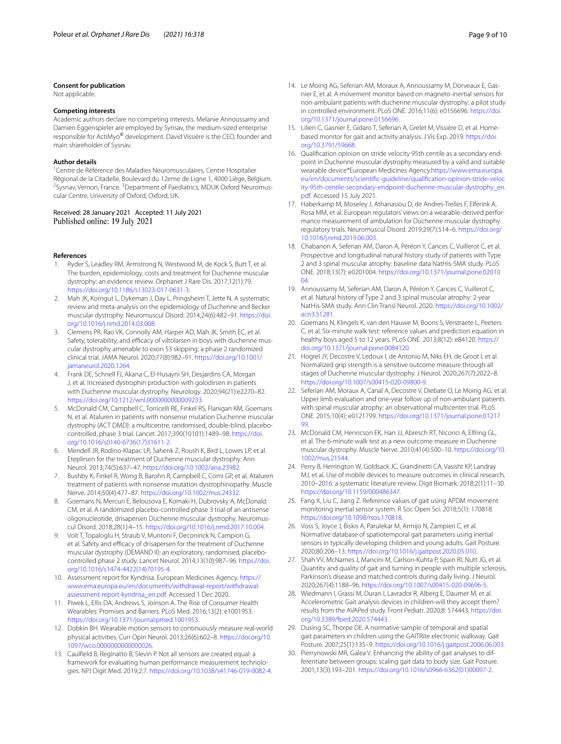#### **Consent for publication**

Not applicable.

#### **Competing interests**

Academic authors declare no competing interests. Melanie Annoussamy and Damien Eggenspieler are employed by Synsav, the medium-sized enterprise responsible for ActiMyo® development. David Vissière is the CEO, founder and main shareholder of Sysnav.

#### **Author details**

<sup>1</sup> Centre de Référence des Maladies Neuromusculaires, Centre Hospitalier Régional de la Citadelle, Boulevard du 12eme de Ligne 1, 4000 Liège, Belgium. 2 Sysnav, Vernon, France. <sup>3</sup> Department of Paediatrics, MDUK Oxford Neuromuscular Centre, University of Oxford, Oxford, UK.

## Received: 28 January 2021 Accepted: 11 July 2021<br>Published online: 19 July 2021

#### **References**

- <span id="page-8-0"></span>1. Ryder S, Leadley RM, Armstrong N, Westwood M, de Kock S, Butt T, et al. The burden, epidemiology, costs and treatment for Duchenne muscular dystrophy: an evidence review. Orphanet J Rare Dis. 2017;12(1):79. [https://doi.org/10.1186/s13023-017-0631-3.](https://doi.org/10.1186/s13023-017-0631-3)
- <span id="page-8-1"></span>2. Mah JK, Korngut L, Dykeman J, Day L, Pringsheim T, Jette N. A systematic review and meta-analysis on the epidemiology of Duchenne and Becker muscular dystrophy. Neuromuscul Disord. 2014;24(6):482–91. [https://doi.](https://doi.org/10.1016/j.nmd.2014.03.008) [org/10.1016/j.nmd.2014.03.008](https://doi.org/10.1016/j.nmd.2014.03.008).
- <span id="page-8-2"></span>Clemens PR, Rao VK, Connolly AM, Harper AD, Mah JK, Smith EC, et al. Safety, tolerability, and efficacy of viltolarsen in boys with duchenne muscular dystrophy amenable to exon 53 skipping: a phase 2 randomized clinical trial. JAMA Neurol. 2020;77(8):982–91. [https://doi.org/10.1001/](https://doi.org/10.1001/jamaneurol.2020.1264) [jamaneurol.2020.1264](https://doi.org/10.1001/jamaneurol.2020.1264).
- 4. Frank DE, Schnell FJ, Akana C, El-Husayni SH, Desjardins CA, Morgan J, et al. Increased dystrophin production with golodirsen in patients with Duchenne muscular dystrophy. Neurology. 2020;94(21):e2270–82. <https://doi.org/10.1212/wnl.0000000000009233>.
- <span id="page-8-4"></span>5. McDonald CM, Campbell C, Torricelli RE, Finkel RS, Flanigan KM, Goemans N, et al. Ataluren in patients with nonsense mutation Duchenne muscular dystrophy (ACT DMD): a multicentre, randomised, double-blind, placebocontrolled, phase 3 trial. Lancet. 2017;390(10101):1489–98. [https://doi.](https://doi.org/10.1016/s0140-6736(17)31611-2) [org/10.1016/s0140-6736\(17\)31611-2](https://doi.org/10.1016/s0140-6736(17)31611-2).
- <span id="page-8-3"></span>6. Mendell JR, Rodino-Klapac LR, Sahenk Z, Roush K, Bird L, Lowes LP, et al. Eteplirsen for the treatment of Duchenne muscular dystrophy. Ann Neurol. 2013;74(5):637–47. <https://doi.org/10.1002/ana.23982>.
- 7. Bushby K, Finkel R, Wong B, Barohn R, Campbell C, Comi GP, et al. Ataluren treatment of patients with nonsense mutation dystrophinopathy. Muscle Nerve. 2014;50(4):477–87. [https://doi.org/10.1002/mus.24332.](https://doi.org/10.1002/mus.24332)
- 8. Goemans N, Mercuri E, Belousova E, Komaki H, Dubrovsky A, McDonald CM, et al. A randomized placebo-controlled phase 3 trial of an antisense oligonucleotide, drisapersen Duchenne muscular dystrophy. Neuromuscul Disord. 2018;28(1):4–15.<https://doi.org/10.1016/j.nmd.2017.10.004>.
- 9. Voit T, Topaloglu H, Straub V, Muntoni F, Deconinck N, Campion G, et al. Safety and efficacy of drisapersen for the treatment of Duchenne muscular dystrophy (DEMAND II): an exploratory, randomised, placebocontrolled phase 2 study. Lancet Neurol. 2014;13(10):987–96. [https://doi.](https://doi.org/10.1016/s1474-4422(14)70195-4) [org/10.1016/s1474-4422\(14\)70195-4](https://doi.org/10.1016/s1474-4422(14)70195-4).
- <span id="page-8-5"></span>10. Assessment report for Kyndrisa. European Medicines Agency. [https://](https://www.ema.europa.eu/en/documents/withdrawal-report/withdrawal-assessment-report-kyndrisa_en.pdf) [www.ema.europa.eu/en/documents/withdrawal-report/withdrawal](https://www.ema.europa.eu/en/documents/withdrawal-report/withdrawal-assessment-report-kyndrisa_en.pdf)[assessment-report-kyndrisa\\_en.pdf](https://www.ema.europa.eu/en/documents/withdrawal-report/withdrawal-assessment-report-kyndrisa_en.pdf). Accessed 1 Dec 2020.
- <span id="page-8-6"></span>11. Piwek L, Ellis DA, Andrews S, Joinson A. The Rise of Consumer Health Wearables: Promises and Barriers. PLoS Med. 2016;13(2): e1001953. <https://doi.org/10.1371/journal.pmed.1001953>.
- <span id="page-8-7"></span>12. Dobkin BH. Wearable motion sensors to continuously measure real-world physical activities. Curr Opin Neurol. 2013;26(6):602–8. [https://doi.org/10.](https://doi.org/10.1097/wco.0000000000000026) [1097/wco.0000000000000026](https://doi.org/10.1097/wco.0000000000000026).
- <span id="page-8-8"></span>13. Caulfeld B, Reginatto B, Slevin P. Not all sensors are created equal: a framework for evaluating human performance measurement technologies. NPJ Digit Med. 2019;2:7. [https://doi.org/10.1038/s41746-019-0082-4.](https://doi.org/10.1038/s41746-019-0082-4)
- <span id="page-8-9"></span>14. Le Moing AG, Seferian AM, Moraux A, Annoussamy M, Dorveaux E, Gasnier E, et al. A movement monitor based on magneto-inertial sensors for non-ambulant patients with duchenne muscular dystrophy: a pilot study in controlled environment. PLoS ONE. 2016;11(6): e0156696. [https://doi.](https://doi.org/10.1371/journal.pone.0156696) [org/10.1371/journal.pone.0156696](https://doi.org/10.1371/journal.pone.0156696).
- <span id="page-8-10"></span>15. Lilien C, Gasnier E, Gidaro T, Seferian A, Grelet M, Vissière D, et al. Homebased monitor for gait and activity analysis. J Vis Exp. 2019. [https://doi.](https://doi.org/10.3791/59668) [org/10.3791/59668.](https://doi.org/10.3791/59668)
- <span id="page-8-11"></span>16. Qualifcation opinion on stride velocity 95th centile as a secondary endpoint in Duchenne muscular dystrophy measured by a valid and suitable wearable device\*European Medicines Agency.[https://www.ema.europa.](https://www.ema.europa.eu/en/documents/scientific-guideline/qualification-opinion-stride-velocity-95th-centile-secondary-endpoint-duchenne-muscular-dystrophy_en.pdf) [eu/en/documents/scientifc-guideline/qualifcation-opinion-stride-veloc](https://www.ema.europa.eu/en/documents/scientific-guideline/qualification-opinion-stride-velocity-95th-centile-secondary-endpoint-duchenne-muscular-dystrophy_en.pdf) [ity-95th-centile-secondary-endpoint-duchenne-muscular-dystrophy\\_en.](https://www.ema.europa.eu/en/documents/scientific-guideline/qualification-opinion-stride-velocity-95th-centile-secondary-endpoint-duchenne-muscular-dystrophy_en.pdf) [pdf.](https://www.ema.europa.eu/en/documents/scientific-guideline/qualification-opinion-stride-velocity-95th-centile-secondary-endpoint-duchenne-muscular-dystrophy_en.pdf) Accessed 15 July 2021.
- <span id="page-8-12"></span>17. Haberkamp M, Moseley J, Athanasiou D, de Andres-Trelles F, Elferink A, Rosa MM, et al. European regulators' views on a wearable-derived performance measurement of ambulation for Duchenne muscular dystrophy regulatory trials. Neuromuscul Disord. 2019;29(7):514–6. [https://doi.org/](https://doi.org/10.1016/j.nmd.2019.06.003) [10.1016/j.nmd.2019.06.003](https://doi.org/10.1016/j.nmd.2019.06.003).
- <span id="page-8-13"></span>18. Chabanon A, Seferian AM, Daron A, Péréon Y, Cances C, Vuillerot C, et al. Prospective and longitudinal natural history study of patients with Type 2 and 3 spinal muscular atrophy: baseline data NatHis-SMA study. PLoS ONE. 2018;13(7): e0201004. [https://doi.org/10.1371/journal.pone.02010](https://doi.org/10.1371/journal.pone.0201004)  $04.$  $04.$
- <span id="page-8-14"></span>19. Annoussamy M, Seferian AM, Daron A, Péréon Y, Cances C, Vuillerot C, et al. Natural history of Type 2 and 3 spinal muscular atrophy: 2-year NatHis-SMA study. Ann Clin Transl Neurol. 2020. [https://doi.org/10.1002/](https://doi.org/10.1002/acn3.51281) [acn3.51281.](https://doi.org/10.1002/acn3.51281)
- <span id="page-8-15"></span>20. Goemans N, Klingels K, van den Hauwe M, Boons S, Verstraete L, Peeters C, et al. Six-minute walk test: reference values and prediction equation in healthy boys aged 5 to 12 years. PLoS ONE. 2013;8(12): e84120. [https://](https://doi.org/10.1371/journal.pone.0084120) [doi.org/10.1371/journal.pone.0084120](https://doi.org/10.1371/journal.pone.0084120).
- <span id="page-8-16"></span>21. Hogrel JY, Decostre V, Ledoux I, de Antonio M, Niks EH, de Groot I, et al. Normalized grip strength is a sensitive outcome measure through all stages of Duchenne muscular dystrophy. J Neurol. 2020;267(7):2022–8. <https://doi.org/10.1007/s00415-020-09800-9>.
- <span id="page-8-17"></span>22. Seferian AM, Moraux A, Canal A, Decostre V, Diebate O, Le Moing AG, et al. Upper limb evaluation and one-year follow up of non-ambulant patients with spinal muscular atrophy: an observational multicenter trial. PLoS ONE. 2015;10(4): e0121799. [https://doi.org/10.1371/journal.pone.01217](https://doi.org/10.1371/journal.pone.0121799) [99](https://doi.org/10.1371/journal.pone.0121799).
- <span id="page-8-18"></span>23. McDonald CM, Henricson EK, Han JJ, Abresch RT, Nicorici A, Elfring GL, et al. The 6-minute walk test as a new outcome measure in Duchenne muscular dystrophy. Muscle Nerve. 2010;41(4):500–10. [https://doi.org/10.](https://doi.org/10.1002/mus.21544) [1002/mus.21544](https://doi.org/10.1002/mus.21544).
- <span id="page-8-19"></span>24. Perry B, Herrington W, Goldsack JC, Grandinetti CA, Vasisht KP, Landray MJ, et al. Use of mobile devices to measure outcomes in clinical research, 2010–2016: a systematic literature review. Digit Biomark. 2018;2(1):11–30. [https://doi.org/10.1159/000486347.](https://doi.org/10.1159/000486347)
- <span id="page-8-20"></span>25. Fang X, Liu C, Jiang Z. Reference values of gait using APDM movement monitoring inertial sensor system. R Soc Open Sci. 2018;5(1): 170818. [https://doi.org/10.1098/rsos.170818.](https://doi.org/10.1098/rsos.170818)
- <span id="page-8-21"></span>26. Voss S, Joyce J, Biskis A, Parulekar M, Armijo N, Zampieri C, et al. Normative database of spatiotemporal gait parameters using inertial sensors in typically developing children and young adults. Gait Posture. 2020;80:206–13.<https://doi.org/10.1016/j.gaitpost.2020.05.010>.
- <span id="page-8-22"></span>27. Shah VV, McNames J, Mancini M, Carlson-Kuhta P, Spain RI, Nutt JG, et al. Quantity and quality of gait and turning in people with multiple sclerosis, Parkinson's disease and matched controls during daily living. J Neurol. 2020;267(4):1188–96. [https://doi.org/10.1007/s00415-020-09696-5.](https://doi.org/10.1007/s00415-020-09696-5)
- <span id="page-8-23"></span>28. Wiedmann I, Grassi M, Duran I, Lavrador R, Alberg E, Daumer M, et al. Accelerometric Gait analysis devices in children-will they accept them? results from the AVAPed study. Front Pediatr. 2020;8: 574443. [https://doi.](https://doi.org/10.3389/fped.2020.574443) [org/10.3389/fped.2020.574443](https://doi.org/10.3389/fped.2020.574443).
- <span id="page-8-24"></span>29. Dusing SC, Thorpe DE. A normative sample of temporal and spatial gait parameters in children using the GAITRite electronic walkway. Gait Posture. 2007;25(1):135–9. [https://doi.org/10.1016/j.gaitpost.2006.06.003.](https://doi.org/10.1016/j.gaitpost.2006.06.003)
- <span id="page-8-25"></span>30. Pierrynowski MR, Galea V. Enhancing the ability of gait analyses to differentiate between groups: scaling gait data to body size. Gait Posture. 2001;13(3):193–201. [https://doi.org/10.1016/s0966-6362\(01\)00097-2](https://doi.org/10.1016/s0966-6362(01)00097-2).